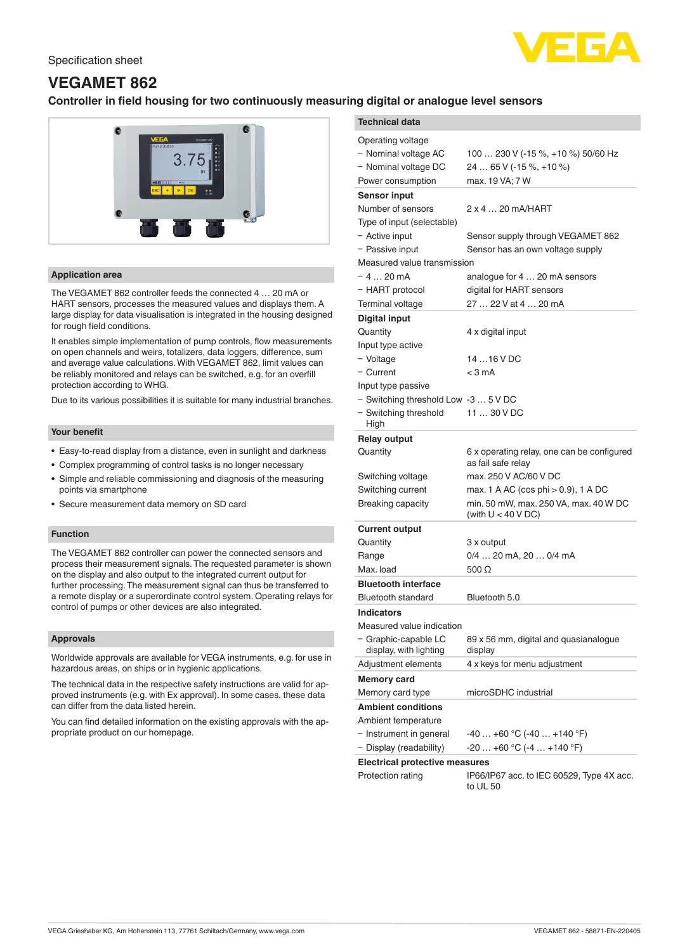

# **VEGAMET 862**

# **Controller in field housing for two continuously measuring digital or analogue level sensors**



# **Application area**

The VEGAMET 862 controller feeds the connected 4 … 20 mA or HART sensors, processes the measured values and displays them. A large display for data visualisation is integrated in the housing designed for rough field conditions.

It enables simple implementation of pump controls, flow measurements on open channels and weirs, totalizers, data loggers, difference, sum and average value calculations. With VEGAMET 862, limit values can be reliably monitored and relays can be switched, e.g. for an overfill protection according to WHG.

Due to its various possibilities it is suitable for many industrial branches.

# **Your benefit**

- Easy-to-read display from a distance, even in sunlight and darkness
- Complex programming of control tasks is no longer necessary
- Simple and reliable commissioning and diagnosis of the measuring points via smartphone
- Secure measurement data memory on SD card

## **Function**

The VEGAMET 862 controller can power the connected sensors and process their measurement signals. The requested parameter is shown on the display and also output to the integrated current output for further processing. The measurement signal can thus be transferred to a remote display or a superordinate control system. Operating relays for control of pumps or other devices are also integrated.

### **Approvals**

Worldwide approvals are available for VEGA instruments, e.g. for use in hazardous areas, on ships or in hygienic applications.

The technical data in the respective safety instructions are valid for approved instruments (e.g. with Ex approval). In some cases, these data can differ from the data listed herein.

You can find detailed information on the existing approvals with the appropriate product on our homepage.

| י ייטייפי פי<br>                               |                                                                  |
|------------------------------------------------|------------------------------------------------------------------|
| <b>Technical data</b>                          |                                                                  |
| Operating voltage                              |                                                                  |
| - Nominal voltage AC                           | 100  230 V (-15 %, +10 %) 50/60 Hz                               |
| - Nominal voltage DC                           | 24  65 V (-15 %, +10 %)                                          |
| Power consumption                              | max. 19 VA; 7 W                                                  |
| <b>Sensor input</b>                            |                                                                  |
| Number of sensors                              | 2 x 4  20 mA/HART                                                |
| Type of input (selectable)                     |                                                                  |
| - Active input                                 | Sensor supply through VEGAMET 862                                |
| - Passive input                                | Sensor has an own voltage supply                                 |
| Measured value transmission                    |                                                                  |
| – 4  20 mA                                     | analogue for 4  20 mA sensors                                    |
| - HART protocol                                | digital for HART sensors                                         |
| Terminal voltage                               | 27  22 V at 4  20 mA                                             |
| <b>Digital input</b>                           |                                                                  |
| Quantity                                       | 4 x digital input                                                |
| Input type active                              |                                                                  |
| - Voltage                                      | 14  16 V DC                                                      |
| - Current                                      | $<$ 3 mA                                                         |
| Input type passive                             |                                                                  |
| - Switching threshold Low -3  5 V DC           |                                                                  |
| - Switching threshold<br>High                  | 11  30 V DC                                                      |
| <b>Relay output</b>                            |                                                                  |
| Quantity                                       | 6 x operating relay, one can be configured<br>as fail safe relay |
| Switching voltage                              | max. 250 V AC/60 V DC                                            |
| Switching current                              | max. 1 A AC (cos phi $> 0.9$ ), 1 A DC                           |
| Breaking capacity                              | min. 50 mW, max. 250 VA, max. 40 W DC<br>(with $U < 40 VDC$ )    |
| <b>Current output</b>                          |                                                                  |
| Quantity                                       | 3 x output                                                       |
| Range                                          | 0/4  20 mA, 20  0/4 mA                                           |
| Max. load                                      | 500 $\Omega$                                                     |
| <b>Bluetooth interface</b>                     |                                                                  |
| Bluetooth standard                             | Bluetooth 5.0                                                    |
| <b>Indicators</b>                              |                                                                  |
| Measured value indication                      |                                                                  |
| - Graphic-capable LC<br>display, with lighting | 89 x 56 mm, digital and quasianalogue<br>display                 |
| Adjustment elements                            | 4 x keys for menu adjustment                                     |
| <b>Memory card</b>                             |                                                                  |
| Memory card type                               | microSDHC industrial                                             |
| <b>Ambient conditions</b>                      |                                                                  |
| Ambient temperature                            |                                                                  |
| - Instrument in general                        | $-40+60$ °C ( $-40+140$ °F)                                      |
| - Display (readability)                        | $-20+60$ °C (-4  +140 °F)                                        |
| <b>Electrical protective measures</b>          |                                                                  |
| Protection rating                              | IP66/IP67 acc. to IEC 60529, Type 4X acc.<br>to UL 50            |